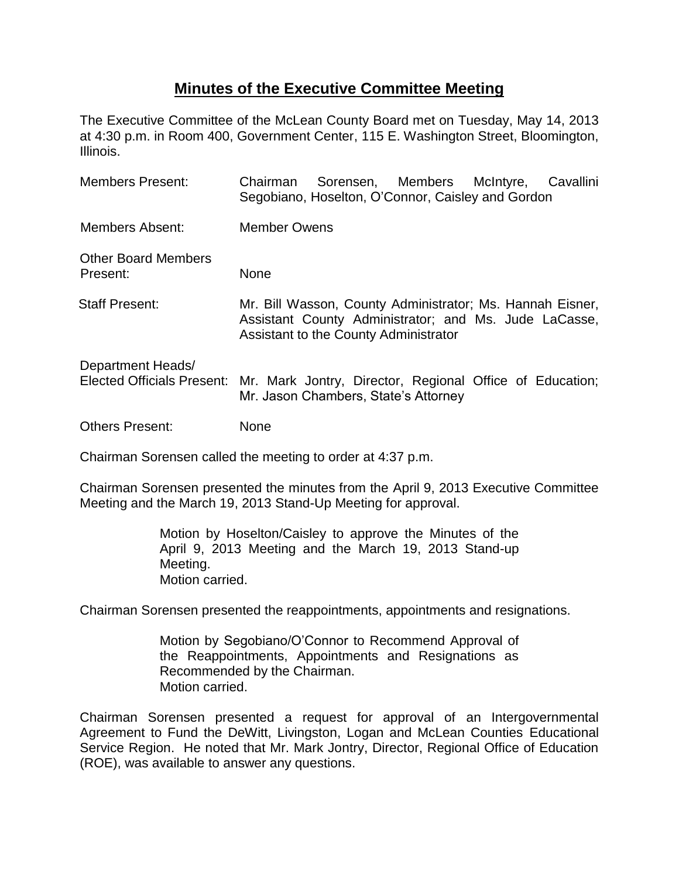## **Minutes of the Executive Committee Meeting**

The Executive Committee of the McLean County Board met on Tuesday, May 14, 2013 at 4:30 p.m. in Room 400, Government Center, 115 E. Washington Street, Bloomington, Illinois.

| <b>Members Present:</b>                         | Sorensen, Members McIntyre,<br>Chairman<br>Segobiano, Hoselton, O'Connor, Caisley and Gordon                                                                | Cavallini |
|-------------------------------------------------|-------------------------------------------------------------------------------------------------------------------------------------------------------------|-----------|
| Members Absent:                                 | <b>Member Owens</b>                                                                                                                                         |           |
| <b>Other Board Members</b><br>Present:          | None                                                                                                                                                        |           |
| <b>Staff Present:</b>                           | Mr. Bill Wasson, County Administrator; Ms. Hannah Eisner,<br>Assistant County Administrator; and Ms. Jude LaCasse,<br>Assistant to the County Administrator |           |
| Department Heads/<br>Elected Officials Present: | Mr. Mark Jontry, Director, Regional Office of Education;<br>Mr. Jason Chambers, State's Attorney                                                            |           |
| <b>Others Present:</b>                          | None                                                                                                                                                        |           |

Chairman Sorensen called the meeting to order at 4:37 p.m.

Chairman Sorensen presented the minutes from the April 9, 2013 Executive Committee Meeting and the March 19, 2013 Stand-Up Meeting for approval.

> Motion by Hoselton/Caisley to approve the Minutes of the April 9, 2013 Meeting and the March 19, 2013 Stand-up Meeting. Motion carried.

Chairman Sorensen presented the reappointments, appointments and resignations.

Motion by Segobiano/O'Connor to Recommend Approval of the Reappointments, Appointments and Resignations as Recommended by the Chairman. Motion carried.

Chairman Sorensen presented a request for approval of an Intergovernmental Agreement to Fund the DeWitt, Livingston, Logan and McLean Counties Educational Service Region. He noted that Mr. Mark Jontry, Director, Regional Office of Education (ROE), was available to answer any questions.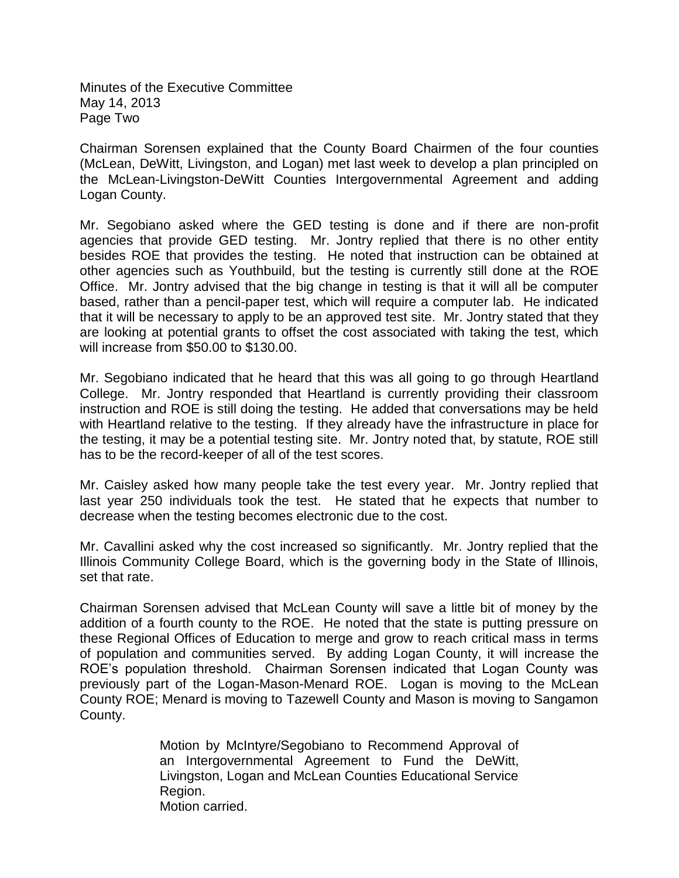Minutes of the Executive Committee May 14, 2013 Page Two

Chairman Sorensen explained that the County Board Chairmen of the four counties (McLean, DeWitt, Livingston, and Logan) met last week to develop a plan principled on the McLean-Livingston-DeWitt Counties Intergovernmental Agreement and adding Logan County.

Mr. Segobiano asked where the GED testing is done and if there are non-profit agencies that provide GED testing. Mr. Jontry replied that there is no other entity besides ROE that provides the testing. He noted that instruction can be obtained at other agencies such as Youthbuild, but the testing is currently still done at the ROE Office. Mr. Jontry advised that the big change in testing is that it will all be computer based, rather than a pencil-paper test, which will require a computer lab. He indicated that it will be necessary to apply to be an approved test site. Mr. Jontry stated that they are looking at potential grants to offset the cost associated with taking the test, which will increase from \$50.00 to \$130.00.

Mr. Segobiano indicated that he heard that this was all going to go through Heartland College. Mr. Jontry responded that Heartland is currently providing their classroom instruction and ROE is still doing the testing. He added that conversations may be held with Heartland relative to the testing. If they already have the infrastructure in place for the testing, it may be a potential testing site. Mr. Jontry noted that, by statute, ROE still has to be the record-keeper of all of the test scores.

Mr. Caisley asked how many people take the test every year. Mr. Jontry replied that last year 250 individuals took the test. He stated that he expects that number to decrease when the testing becomes electronic due to the cost.

Mr. Cavallini asked why the cost increased so significantly. Mr. Jontry replied that the Illinois Community College Board, which is the governing body in the State of Illinois, set that rate.

Chairman Sorensen advised that McLean County will save a little bit of money by the addition of a fourth county to the ROE. He noted that the state is putting pressure on these Regional Offices of Education to merge and grow to reach critical mass in terms of population and communities served. By adding Logan County, it will increase the ROE's population threshold. Chairman Sorensen indicated that Logan County was previously part of the Logan-Mason-Menard ROE. Logan is moving to the McLean County ROE; Menard is moving to Tazewell County and Mason is moving to Sangamon County.

> Motion by McIntyre/Segobiano to Recommend Approval of an Intergovernmental Agreement to Fund the DeWitt, Livingston, Logan and McLean Counties Educational Service Region. Motion carried.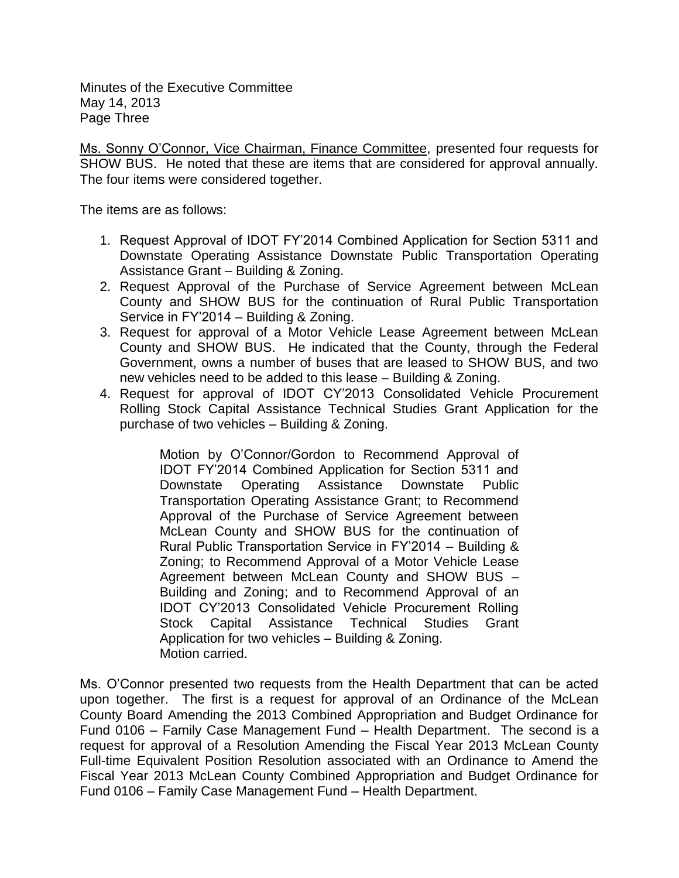Minutes of the Executive Committee May 14, 2013 Page Three

Ms. Sonny O'Connor, Vice Chairman, Finance Committee, presented four requests for SHOW BUS. He noted that these are items that are considered for approval annually. The four items were considered together.

The items are as follows:

- 1. Request Approval of IDOT FY'2014 Combined Application for Section 5311 and Downstate Operating Assistance Downstate Public Transportation Operating Assistance Grant – Building & Zoning.
- 2. Request Approval of the Purchase of Service Agreement between McLean County and SHOW BUS for the continuation of Rural Public Transportation Service in FY'2014 – Building & Zoning.
- 3. Request for approval of a Motor Vehicle Lease Agreement between McLean County and SHOW BUS. He indicated that the County, through the Federal Government, owns a number of buses that are leased to SHOW BUS, and two new vehicles need to be added to this lease – Building & Zoning.
- 4. Request for approval of IDOT CY'2013 Consolidated Vehicle Procurement Rolling Stock Capital Assistance Technical Studies Grant Application for the purchase of two vehicles – Building & Zoning.

Motion by O'Connor/Gordon to Recommend Approval of IDOT FY'2014 Combined Application for Section 5311 and Downstate Operating Assistance Downstate Public Transportation Operating Assistance Grant; to Recommend Approval of the Purchase of Service Agreement between McLean County and SHOW BUS for the continuation of Rural Public Transportation Service in FY'2014 – Building & Zoning; to Recommend Approval of a Motor Vehicle Lease Agreement between McLean County and SHOW BUS – Building and Zoning; and to Recommend Approval of an IDOT CY'2013 Consolidated Vehicle Procurement Rolling Stock Capital Assistance Technical Studies Grant Application for two vehicles – Building & Zoning. Motion carried.

Ms. O'Connor presented two requests from the Health Department that can be acted upon together. The first is a request for approval of an Ordinance of the McLean County Board Amending the 2013 Combined Appropriation and Budget Ordinance for Fund 0106 – Family Case Management Fund – Health Department. The second is a request for approval of a Resolution Amending the Fiscal Year 2013 McLean County Full-time Equivalent Position Resolution associated with an Ordinance to Amend the Fiscal Year 2013 McLean County Combined Appropriation and Budget Ordinance for Fund 0106 – Family Case Management Fund – Health Department.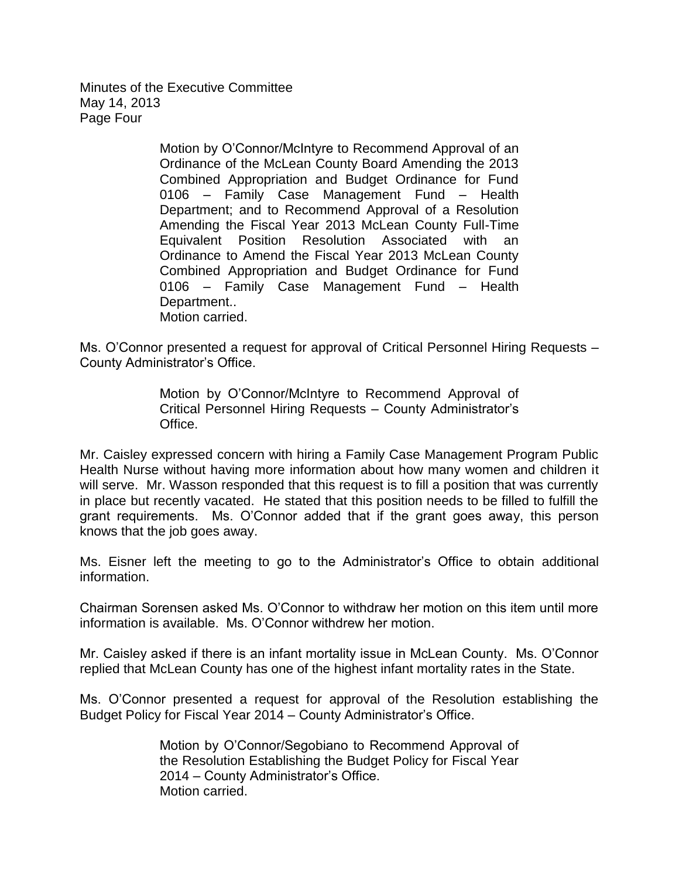Minutes of the Executive Committee May 14, 2013 Page Four

> Motion by O'Connor/McIntyre to Recommend Approval of an Ordinance of the McLean County Board Amending the 2013 Combined Appropriation and Budget Ordinance for Fund 0106 – Family Case Management Fund – Health Department; and to Recommend Approval of a Resolution Amending the Fiscal Year 2013 McLean County Full-Time Equivalent Position Resolution Associated with an Ordinance to Amend the Fiscal Year 2013 McLean County Combined Appropriation and Budget Ordinance for Fund 0106 – Family Case Management Fund – Health Department.. Motion carried.

Ms. O'Connor presented a request for approval of Critical Personnel Hiring Requests – County Administrator's Office.

> Motion by O'Connor/McIntyre to Recommend Approval of Critical Personnel Hiring Requests – County Administrator's Office.

Mr. Caisley expressed concern with hiring a Family Case Management Program Public Health Nurse without having more information about how many women and children it will serve. Mr. Wasson responded that this request is to fill a position that was currently in place but recently vacated. He stated that this position needs to be filled to fulfill the grant requirements. Ms. O'Connor added that if the grant goes away, this person knows that the job goes away.

Ms. Eisner left the meeting to go to the Administrator's Office to obtain additional information.

Chairman Sorensen asked Ms. O'Connor to withdraw her motion on this item until more information is available. Ms. O'Connor withdrew her motion.

Mr. Caisley asked if there is an infant mortality issue in McLean County. Ms. O'Connor replied that McLean County has one of the highest infant mortality rates in the State.

Ms. O'Connor presented a request for approval of the Resolution establishing the Budget Policy for Fiscal Year 2014 – County Administrator's Office.

> Motion by O'Connor/Segobiano to Recommend Approval of the Resolution Establishing the Budget Policy for Fiscal Year 2014 – County Administrator's Office. Motion carried.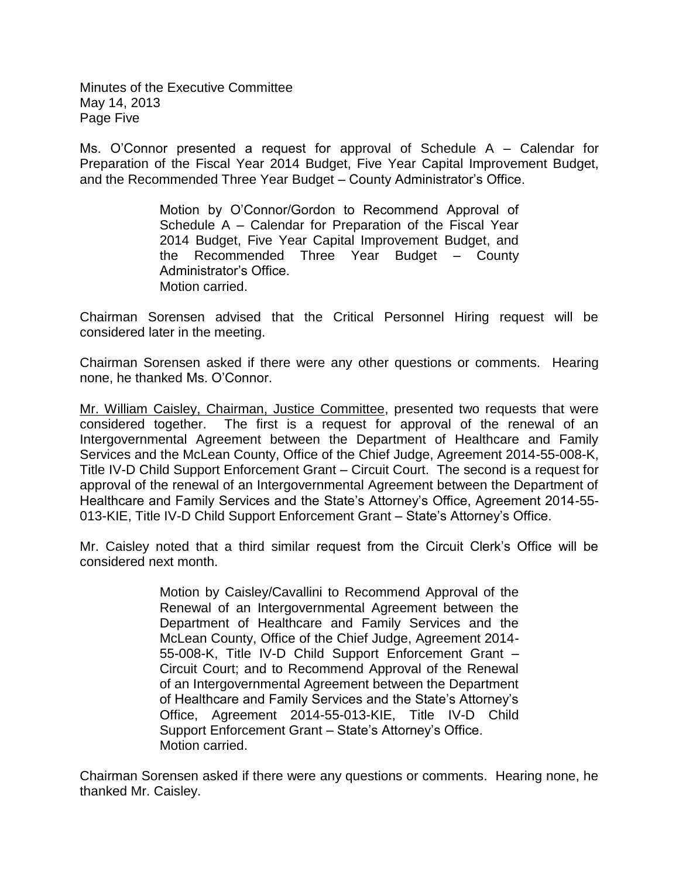Minutes of the Executive Committee May 14, 2013 Page Five

Ms. O'Connor presented a request for approval of Schedule A – Calendar for Preparation of the Fiscal Year 2014 Budget, Five Year Capital Improvement Budget, and the Recommended Three Year Budget – County Administrator's Office.

> Motion by O'Connor/Gordon to Recommend Approval of Schedule A – Calendar for Preparation of the Fiscal Year 2014 Budget, Five Year Capital Improvement Budget, and the Recommended Three Year Budget – County Administrator's Office. Motion carried.

Chairman Sorensen advised that the Critical Personnel Hiring request will be considered later in the meeting.

Chairman Sorensen asked if there were any other questions or comments. Hearing none, he thanked Ms. O'Connor.

Mr. William Caisley, Chairman, Justice Committee, presented two requests that were considered together. The first is a request for approval of the renewal of an Intergovernmental Agreement between the Department of Healthcare and Family Services and the McLean County, Office of the Chief Judge, Agreement 2014-55-008-K, Title IV-D Child Support Enforcement Grant – Circuit Court. The second is a request for approval of the renewal of an Intergovernmental Agreement between the Department of Healthcare and Family Services and the State's Attorney's Office, Agreement 2014-55- 013-KIE, Title IV-D Child Support Enforcement Grant – State's Attorney's Office.

Mr. Caisley noted that a third similar request from the Circuit Clerk's Office will be considered next month.

> Motion by Caisley/Cavallini to Recommend Approval of the Renewal of an Intergovernmental Agreement between the Department of Healthcare and Family Services and the McLean County, Office of the Chief Judge, Agreement 2014- 55-008-K, Title IV-D Child Support Enforcement Grant – Circuit Court; and to Recommend Approval of the Renewal of an Intergovernmental Agreement between the Department of Healthcare and Family Services and the State's Attorney's Office, Agreement 2014-55-013-KIE, Title IV-D Child Support Enforcement Grant – State's Attorney's Office. Motion carried.

Chairman Sorensen asked if there were any questions or comments. Hearing none, he thanked Mr. Caisley.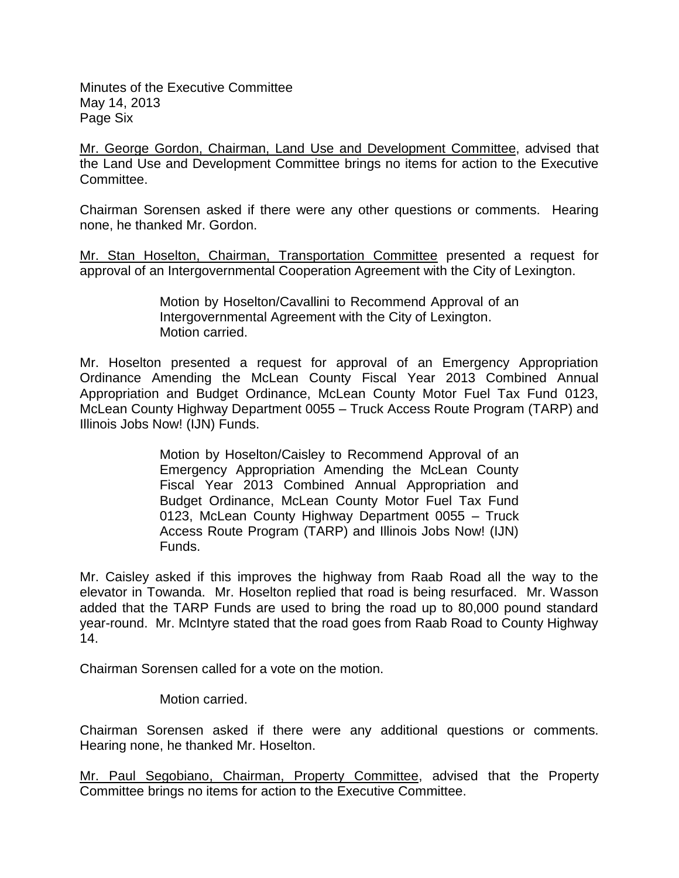Minutes of the Executive Committee May 14, 2013 Page Six

Mr. George Gordon, Chairman, Land Use and Development Committee, advised that the Land Use and Development Committee brings no items for action to the Executive Committee.

Chairman Sorensen asked if there were any other questions or comments. Hearing none, he thanked Mr. Gordon.

Mr. Stan Hoselton, Chairman, Transportation Committee presented a request for approval of an Intergovernmental Cooperation Agreement with the City of Lexington.

> Motion by Hoselton/Cavallini to Recommend Approval of an Intergovernmental Agreement with the City of Lexington. Motion carried.

Mr. Hoselton presented a request for approval of an Emergency Appropriation Ordinance Amending the McLean County Fiscal Year 2013 Combined Annual Appropriation and Budget Ordinance, McLean County Motor Fuel Tax Fund 0123, McLean County Highway Department 0055 – Truck Access Route Program (TARP) and Illinois Jobs Now! (IJN) Funds.

> Motion by Hoselton/Caisley to Recommend Approval of an Emergency Appropriation Amending the McLean County Fiscal Year 2013 Combined Annual Appropriation and Budget Ordinance, McLean County Motor Fuel Tax Fund 0123, McLean County Highway Department 0055 – Truck Access Route Program (TARP) and Illinois Jobs Now! (IJN) Funds.

Mr. Caisley asked if this improves the highway from Raab Road all the way to the elevator in Towanda. Mr. Hoselton replied that road is being resurfaced. Mr. Wasson added that the TARP Funds are used to bring the road up to 80,000 pound standard year-round. Mr. McIntyre stated that the road goes from Raab Road to County Highway 14.

Chairman Sorensen called for a vote on the motion.

Motion carried.

Chairman Sorensen asked if there were any additional questions or comments. Hearing none, he thanked Mr. Hoselton.

Mr. Paul Segobiano, Chairman, Property Committee, advised that the Property Committee brings no items for action to the Executive Committee.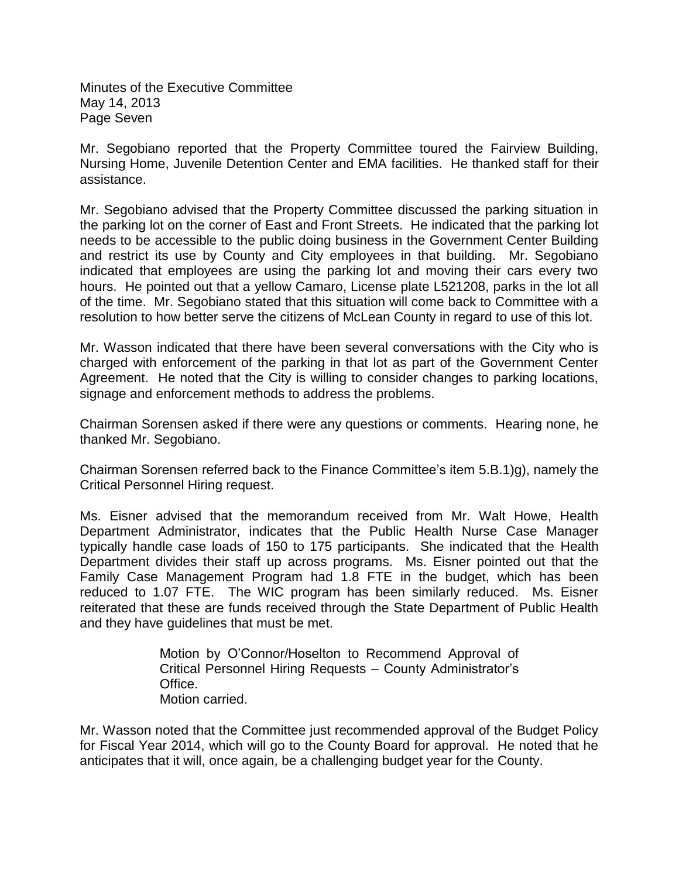Minutes of the Executive Committee May 14, 2013 Page Seven

Mr. Segobiano reported that the Property Committee toured the Fairview Building, Nursing Home, Juvenile Detention Center and EMA facilities. He thanked staff for their assistance.

Mr. Segobiano advised that the Property Committee discussed the parking situation in the parking lot on the corner of East and Front Streets. He indicated that the parking lot needs to be accessible to the public doing business in the Government Center Building and restrict its use by County and City employees in that building. Mr. Segobiano indicated that employees are using the parking lot and moving their cars every two hours. He pointed out that a yellow Camaro, License plate L521208, parks in the lot all of the time. Mr. Segobiano stated that this situation will come back to Committee with a resolution to how better serve the citizens of McLean County in regard to use of this lot.

Mr. Wasson indicated that there have been several conversations with the City who is charged with enforcement of the parking in that lot as part of the Government Center Agreement. He noted that the City is willing to consider changes to parking locations, signage and enforcement methods to address the problems.

Chairman Sorensen asked if there were any questions or comments. Hearing none, he thanked Mr. Segobiano.

Chairman Sorensen referred back to the Finance Committee's item 5.B.1)g), namely the Critical Personnel Hiring request.

Ms. Eisner advised that the memorandum received from Mr. Walt Howe, Health Department Administrator, indicates that the Public Health Nurse Case Manager typically handle case loads of 150 to 175 participants. She indicated that the Health Department divides their staff up across programs. Ms. Eisner pointed out that the Family Case Management Program had 1.8 FTE in the budget, which has been reduced to 1.07 FTE. The WIC program has been similarly reduced. Ms. Eisner reiterated that these are funds received through the State Department of Public Health and they have guidelines that must be met.

> Motion by O'Connor/Hoselton to Recommend Approval of Critical Personnel Hiring Requests – County Administrator's Office. Motion carried.

Mr. Wasson noted that the Committee just recommended approval of the Budget Policy for Fiscal Year 2014, which will go to the County Board for approval. He noted that he anticipates that it will, once again, be a challenging budget year for the County.